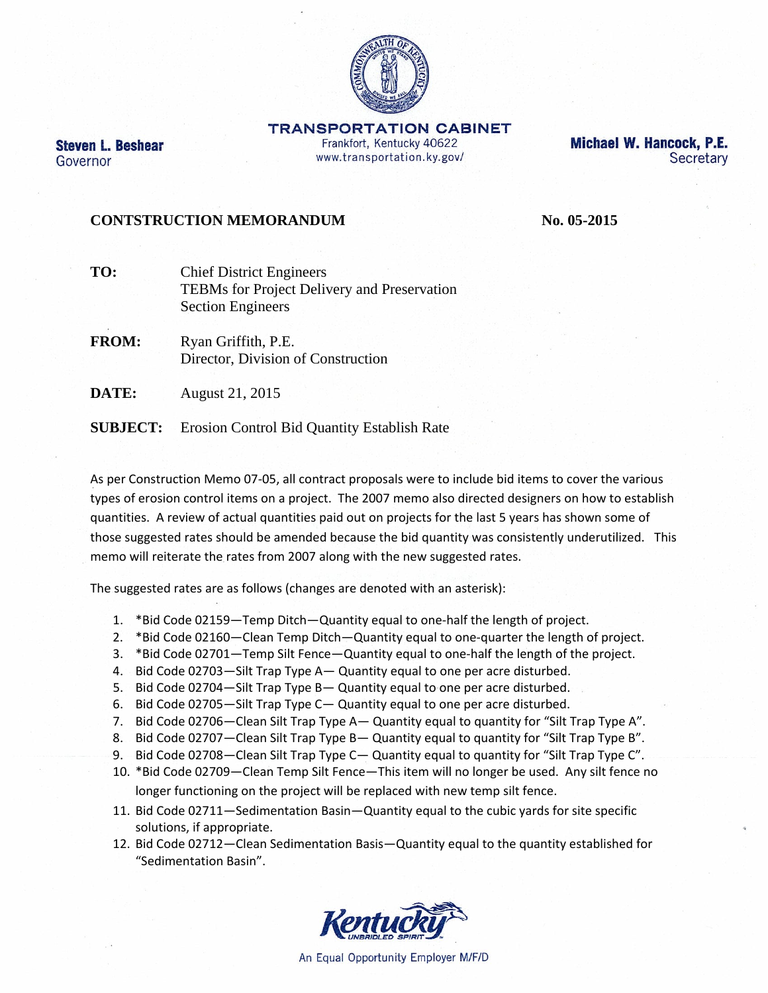

**TRANSPORTATION CABINET** Frankfort, Kentucky 40622 www.transportation.ky.gov/

Michael W. Hancock, P.E. Secretary

## **CONTSTRUCTION MEMORANDUM No. 05-2015**

**Steven L. Beshear** 

Governor

- **TO:** Chief District Engineers TEBMs for Project Delivery and Preservation Section Engineers
- **FROM:** Ryan Griffith, P.E. Director, Division of Construction
- **DATE:** August 21, 2015

**SUBJECT:** Erosion Control Bid Quantity Establish Rate

As per Construction Memo 07‐05, all contract proposals were to include bid items to cover the various types of erosion control items on a project. The 2007 memo also directed designers on how to establish quantities. A review of actual quantities paid out on projects for the last 5 years has shown some of those suggested rates should be amended because the bid quantity was consistently underutilized. This memo will reiterate the rates from 2007 along with the new suggested rates.

The suggested rates are as follows (changes are denoted with an asterisk):

- 1. \*Bid Code 02159—Temp Ditch—Quantity equal to one‐half the length of project.
- 2. \*Bid Code 02160—Clean Temp Ditch—Quantity equal to one‐quarter the length of project.
- 3. \*Bid Code 02701—Temp Silt Fence—Quantity equal to one-half the length of the project.
- 4. Bid Code 02703—Silt Trap Type A— Quantity equal to one per acre disturbed.
- 5. Bid Code 02704—Silt Trap Type B— Quantity equal to one per acre disturbed.
- 6. Bid Code 02705—Silt Trap Type C— Quantity equal to one per acre disturbed.
- 7. Bid Code 02706—Clean Silt Trap Type A— Quantity equal to quantity for "Silt Trap Type A".
- 8. Bid Code 02707—Clean Silt Trap Type B— Quantity equal to quantity for "Silt Trap Type B".
- 9. Bid Code 02708—Clean Silt Trap Type C— Quantity equal to quantity for "Silt Trap Type C".
- 10. \*Bid Code 02709—Clean Temp Silt Fence—This item will no longer be used. Any silt fence no longer functioning on the project will be replaced with new temp silt fence.
- 11. Bid Code 02711—Sedimentation Basin—Quantity equal to the cubic yards for site specific solutions, if appropriate.
- 12. Bid Code 02712—Clean Sedimentation Basis—Quantity equal to the quantity established for "Sedimentation Basin".



An Equal Opportunity Employer M/F/D